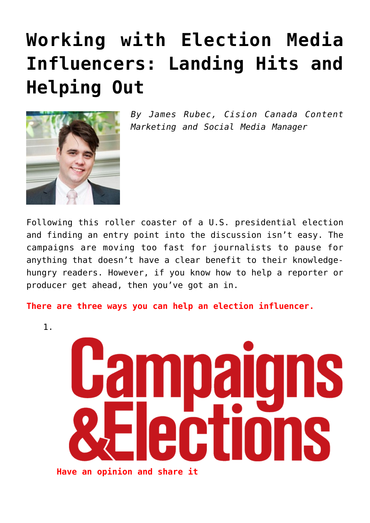## **[Working with Election Media](https://www.commpro.biz/working-with-election-media-influencers-landing-hits-and-helping-out/) [Influencers: Landing Hits and](https://www.commpro.biz/working-with-election-media-influencers-landing-hits-and-helping-out/) [Helping Out](https://www.commpro.biz/working-with-election-media-influencers-landing-hits-and-helping-out/)**



*By James Rubec, Cision Canada Content Marketing and Social Media Manager*

Following this roller coaster of a U.S. presidential election and finding an entry point into the discussion isn't easy. The campaigns are moving too fast for journalists to pause for anything that doesn't have a clear benefit to their knowledgehungry readers. However, if you know how to help a reporter or producer get ahead, then you've got an in.

**There are three ways you can help an election influencer.**

1.

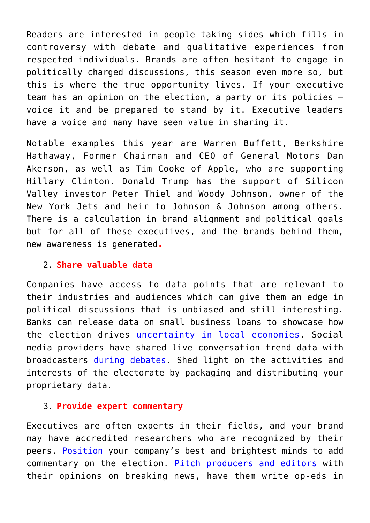Readers are interested in people taking sides which fills in controversy with debate and qualitative experiences from respected individuals. Brands are often hesitant to engage in politically charged discussions, this season even more so, but this is where the true opportunity lives. If your executive team has an opinion on the election, a party or its policies voice it and be prepared to stand by it. Executive leaders have a voice and many have seen value in sharing it.

Notable examples this year are Warren Buffett, Berkshire Hathaway, Former Chairman and CEO of General Motors Dan Akerson, as well as Tim Cooke of Apple, who are supporting Hillary Clinton. Donald Trump has the support of Silicon Valley investor Peter Thiel and Woody Johnson, owner of the New York Jets and heir to Johnson & Johnson among others. There is a calculation in brand alignment and political goals but for all of these executives, and the brands behind them, new awareness is generated**.**

## 2. **Share valuable data**

Companies have access to data points that are relevant to their industries and audiences which can give them an edge in political discussions that is unbiased and still interesting. Banks can release data on small business loans to showcase how the election drives [uncertainty in local economies.](https://newsroom.bankofamerica.com/files/press_kit/additional/Small_Business_Owner_Report_-_Spring_2016.pdf) Social media providers have shared live conversation trend data with broadcasters [during debates.](https://twitter.com/nbcnews/lists/debate-coverage-nbc2016) Shed light on the activities and interests of the electorate by packaging and distributing your proprietary data.

## 3. **Provide expert commentary**

Executives are often experts in their fields, and your brand may have accredited researchers who are recognized by their peers. [Position](https://www.commpro.biz/media-intelligence-channel/) your company's best and brightest minds to add commentary on the election. [Pitch producers and editors](https://www.cision.com/us/pr-software/media-database/?utm_medium=pr&utm_source=pressrelease&utm_content=whitepaper&utm_campaign=top100electioninfluencers) with their opinions on breaking news, have them write op-eds in